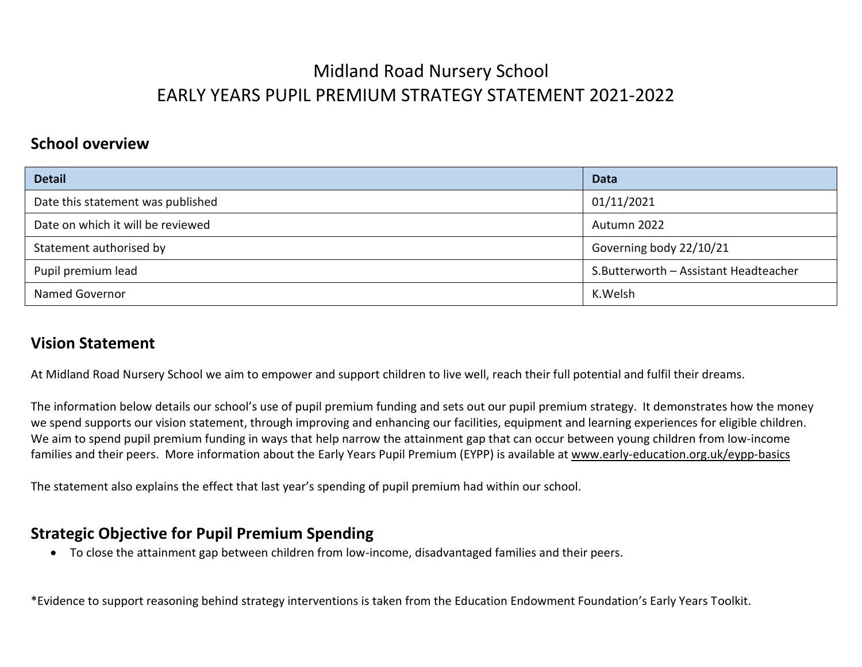#### **School overview**

| <b>Detail</b>                     | <b>Data</b>                           |
|-----------------------------------|---------------------------------------|
| Date this statement was published | 01/11/2021                            |
| Date on which it will be reviewed | Autumn 2022                           |
| Statement authorised by           | Governing body 22/10/21               |
| Pupil premium lead                | S.Butterworth - Assistant Headteacher |
| <b>Named Governor</b>             | K.Welsh                               |

#### **Vision Statement**

At Midland Road Nursery School we aim to empower and support children to live well, reach their full potential and fulfil their dreams.

The information below details our school's use of pupil premium funding and sets out our pupil premium strategy. It demonstrates how the money we spend supports our vision statement, through improving and enhancing our facilities, equipment and learning experiences for eligible children. We aim to spend pupil premium funding in ways that help narrow the attainment gap that can occur between young children from low-income families and their peers. More information about the Early Years Pupil Premium (EYPP) is available at [www.early-education.org.uk/eypp-basics](http://www.early-education.org.uk/eypp-basics)

The statement also explains the effect that last year's spending of pupil premium had within our school.

### **Strategic Objective for Pupil Premium Spending**

To close the attainment gap between children from low-income, disadvantaged families and their peers.

\*Evidence to support reasoning behind strategy interventions is taken from the Education Endowment Foundation's Early Years Toolkit.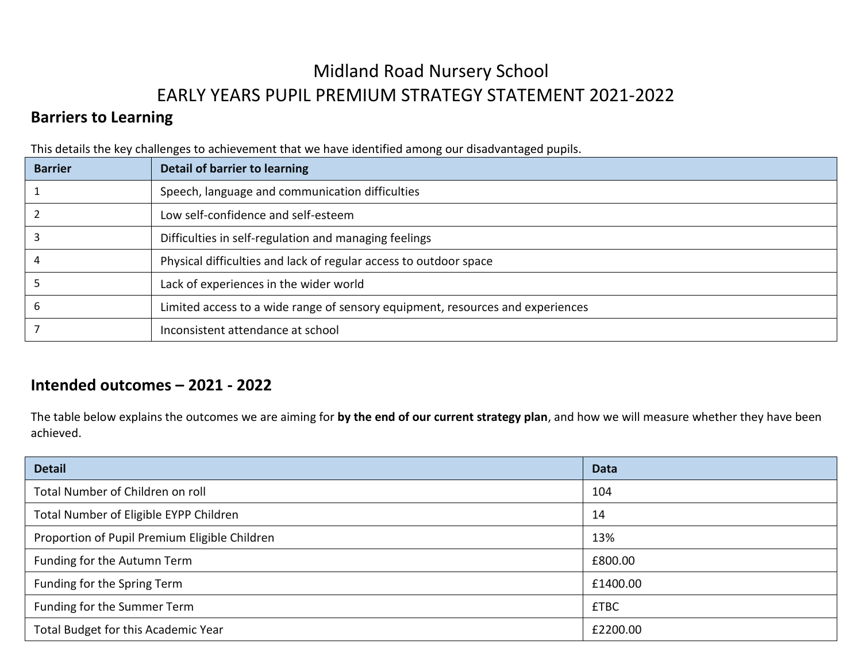### **Barriers to Learning**

This details the key challenges to achievement that we have identified among our disadvantaged pupils.

| <b>Barrier</b> | Detail of barrier to learning                                                  |
|----------------|--------------------------------------------------------------------------------|
|                | Speech, language and communication difficulties                                |
|                | Low self-confidence and self-esteem                                            |
|                | Difficulties in self-regulation and managing feelings                          |
|                | Physical difficulties and lack of regular access to outdoor space              |
|                | Lack of experiences in the wider world                                         |
|                | Limited access to a wide range of sensory equipment, resources and experiences |
|                | Inconsistent attendance at school                                              |

### **Intended outcomes – 2021 - 2022**

The table below explains the outcomes we are aiming for **by the end of our current strategy plan**, and how we will measure whether they have been achieved.

| <b>Detail</b>                                 | Data        |
|-----------------------------------------------|-------------|
| Total Number of Children on roll              | 104         |
| Total Number of Eligible EYPP Children        | 14          |
| Proportion of Pupil Premium Eligible Children | 13%         |
| Funding for the Autumn Term                   | £800.00     |
| Funding for the Spring Term                   | £1400.00    |
| Funding for the Summer Term                   | <b>£TBC</b> |
| Total Budget for this Academic Year           | £2200.00    |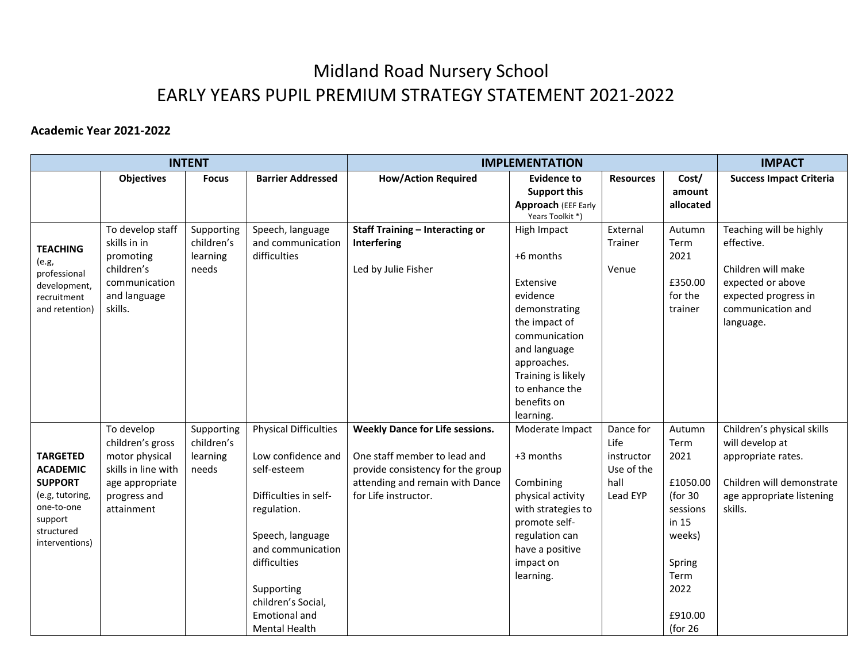#### **Academic Year 2021-2022**

|                                                                                                                                  |                                                                                                                          | <b>INTENT</b>                                 |                                                                                                                                                                                                                                                        | <b>IMPLEMENTATION</b>                                                                                                                                                  |                                                                                                                                                                                                         |                                                                   | <b>IMPACT</b>                                                                                                                   |                                                                                                                                            |
|----------------------------------------------------------------------------------------------------------------------------------|--------------------------------------------------------------------------------------------------------------------------|-----------------------------------------------|--------------------------------------------------------------------------------------------------------------------------------------------------------------------------------------------------------------------------------------------------------|------------------------------------------------------------------------------------------------------------------------------------------------------------------------|---------------------------------------------------------------------------------------------------------------------------------------------------------------------------------------------------------|-------------------------------------------------------------------|---------------------------------------------------------------------------------------------------------------------------------|--------------------------------------------------------------------------------------------------------------------------------------------|
|                                                                                                                                  | <b>Objectives</b>                                                                                                        | <b>Focus</b>                                  | <b>Barrier Addressed</b>                                                                                                                                                                                                                               | <b>How/Action Required</b>                                                                                                                                             | <b>Evidence to</b><br><b>Support this</b><br>Approach (EEF Early<br>Years Toolkit *)                                                                                                                    | <b>Resources</b>                                                  | Cost/<br>amount<br>allocated                                                                                                    | <b>Success Impact Criteria</b>                                                                                                             |
| <b>TEACHING</b><br>(e.g.,<br>professional<br>development,<br>recruitment<br>and retention)                                       | To develop staff<br>skills in in<br>promoting<br>children's<br>communication<br>and language<br>skills.                  | Supporting<br>children's<br>learning<br>needs | Speech, language<br>and communication<br>difficulties                                                                                                                                                                                                  | <b>Staff Training - Interacting or</b><br>Interfering<br>Led by Julie Fisher                                                                                           | High Impact<br>+6 months<br>Extensive<br>evidence<br>demonstrating<br>the impact of<br>communication<br>and language<br>approaches.<br>Training is likely<br>to enhance the<br>benefits on<br>learning. | External<br>Trainer<br>Venue                                      | Autumn<br>Term<br>2021<br>£350.00<br>for the<br>trainer                                                                         | Teaching will be highly<br>effective.<br>Children will make<br>expected or above<br>expected progress in<br>communication and<br>language. |
| <b>TARGETED</b><br><b>ACADEMIC</b><br><b>SUPPORT</b><br>(e.g, tutoring,<br>one-to-one<br>support<br>structured<br>interventions) | To develop<br>children's gross<br>motor physical<br>skills in line with<br>age appropriate<br>progress and<br>attainment | Supporting<br>children's<br>learning<br>needs | <b>Physical Difficulties</b><br>Low confidence and<br>self-esteem<br>Difficulties in self-<br>regulation.<br>Speech, language<br>and communication<br>difficulties<br>Supporting<br>children's Social,<br><b>Emotional and</b><br><b>Mental Health</b> | <b>Weekly Dance for Life sessions.</b><br>One staff member to lead and<br>provide consistency for the group<br>attending and remain with Dance<br>for Life instructor. | Moderate Impact<br>+3 months<br>Combining<br>physical activity<br>with strategies to<br>promote self-<br>regulation can<br>have a positive<br>impact on<br>learning.                                    | Dance for<br>Life<br>instructor<br>Use of the<br>hall<br>Lead EYP | Autumn<br>Term<br>2021<br>£1050.00<br>(for 30)<br>sessions<br>in 15<br>weeks)<br>Spring<br>Term<br>2022<br>£910.00<br>(for $26$ | Children's physical skills<br>will develop at<br>appropriate rates.<br>Children will demonstrate<br>age appropriate listening<br>skills.   |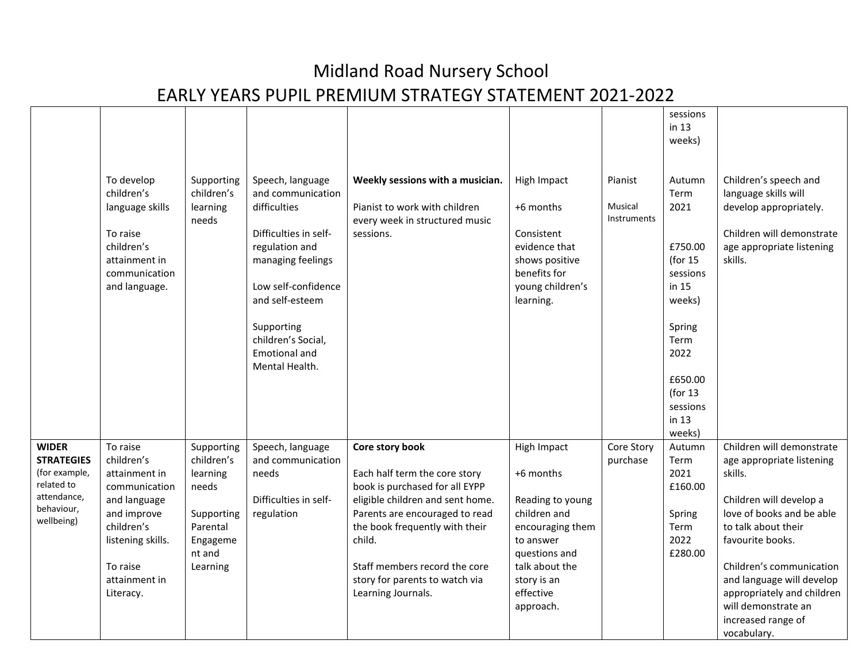|                                                                                                             |                                                                                                                                                                      |                                                                                                           |                                                                                                                                                                                                                                               |                                                                                                                                                                                                                                                                                               |                                                                                                                                                                           |                                          | sessions<br>in $13$<br>weeks)                                                                                                                                  |                                                                                                                                                                                                                                                                                                                         |
|-------------------------------------------------------------------------------------------------------------|----------------------------------------------------------------------------------------------------------------------------------------------------------------------|-----------------------------------------------------------------------------------------------------------|-----------------------------------------------------------------------------------------------------------------------------------------------------------------------------------------------------------------------------------------------|-----------------------------------------------------------------------------------------------------------------------------------------------------------------------------------------------------------------------------------------------------------------------------------------------|---------------------------------------------------------------------------------------------------------------------------------------------------------------------------|------------------------------------------|----------------------------------------------------------------------------------------------------------------------------------------------------------------|-------------------------------------------------------------------------------------------------------------------------------------------------------------------------------------------------------------------------------------------------------------------------------------------------------------------------|
|                                                                                                             | To develop<br>children's<br>language skills<br>To raise<br>children's<br>attainment in<br>communication<br>and language.                                             | Supporting<br>children's<br>learning<br>needs                                                             | Speech, language<br>and communication<br>difficulties<br>Difficulties in self-<br>regulation and<br>managing feelings<br>Low self-confidence<br>and self-esteem<br>Supporting<br>children's Social,<br><b>Emotional and</b><br>Mental Health. | Weekly sessions with a musician.<br>Pianist to work with children<br>every week in structured music<br>sessions.                                                                                                                                                                              | High Impact<br>+6 months<br>Consistent<br>evidence that<br>shows positive<br>benefits for<br>young children's<br>learning.                                                | Pianist<br>Musical<br><b>Instruments</b> | Autumn<br>Term<br>2021<br>£750.00<br>(for $15$<br>sessions<br>in 15<br>weeks)<br>Spring<br>Term<br>2022<br>£650.00<br>(for $13$<br>sessions<br>in 13<br>weeks) | Children's speech and<br>language skills will<br>develop appropriately.<br>Children will demonstrate<br>age appropriate listening<br>skills.                                                                                                                                                                            |
| <b>WIDER</b><br><b>STRATEGIES</b><br>(for example,<br>related to<br>attendance,<br>behaviour,<br>wellbeing) | To raise<br>children's<br>attainment in<br>communication<br>and language<br>and improve<br>children's<br>listening skills.<br>To raise<br>attainment in<br>Literacy. | Supporting<br>children's<br>learning<br>needs<br>Supporting<br>Parental<br>Engageme<br>nt and<br>Learning | Speech, language<br>and communication<br>needs<br>Difficulties in self-<br>regulation                                                                                                                                                         | Core story book<br>Each half term the core story<br>book is purchased for all EYPP<br>eligible children and sent home.<br>Parents are encouraged to read<br>the book frequently with their<br>child.<br>Staff members record the core<br>story for parents to watch via<br>Learning Journals. | High Impact<br>+6 months<br>Reading to young<br>children and<br>encouraging them<br>to answer<br>questions and<br>talk about the<br>story is an<br>effective<br>approach. | Core Story<br>purchase                   | Autumn<br>Term<br>2021<br>£160.00<br>Spring<br>Term<br>2022<br>£280.00                                                                                         | Children will demonstrate<br>age appropriate listening<br>skills.<br>Children will develop a<br>love of books and be able<br>to talk about their<br>favourite books.<br>Children's communication<br>and language will develop<br>appropriately and children<br>will demonstrate an<br>increased range of<br>vocabulary. |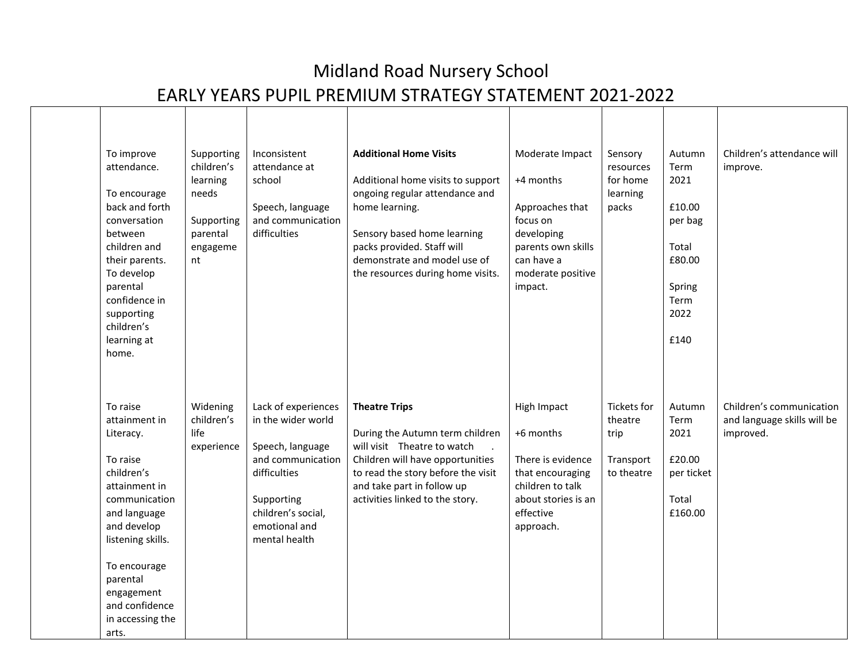| To improve<br>attendance.<br>To encourage<br>back and forth<br>conversation<br>between<br>children and<br>their parents.<br>To develop<br>parental<br>confidence in<br>supporting<br>children's<br>learning at<br>home.                         | Supporting<br>children's<br>learning<br>needs<br>Supporting<br>parental<br>engageme<br>nt | Inconsistent<br>attendance at<br>school<br>Speech, language<br>and communication<br>difficulties                                                                         | <b>Additional Home Visits</b><br>Additional home visits to support<br>ongoing regular attendance and<br>home learning.<br>Sensory based home learning<br>packs provided. Staff will<br>demonstrate and model use of<br>the resources during home visits. | Moderate Impact<br>+4 months<br>Approaches that<br>focus on<br>developing<br>parents own skills<br>can have a<br>moderate positive<br>impact. | Sensory<br>resources<br>for home<br>learning<br>packs            | Autumn<br>Term<br>2021<br>£10.00<br>per bag<br>Total<br>£80.00<br>Spring<br>Term<br>2022<br>£140 | Children's attendance will<br>improve.                               |
|-------------------------------------------------------------------------------------------------------------------------------------------------------------------------------------------------------------------------------------------------|-------------------------------------------------------------------------------------------|--------------------------------------------------------------------------------------------------------------------------------------------------------------------------|----------------------------------------------------------------------------------------------------------------------------------------------------------------------------------------------------------------------------------------------------------|-----------------------------------------------------------------------------------------------------------------------------------------------|------------------------------------------------------------------|--------------------------------------------------------------------------------------------------|----------------------------------------------------------------------|
| To raise<br>attainment in<br>Literacy.<br>To raise<br>children's<br>attainment in<br>communication<br>and language<br>and develop<br>listening skills.<br>To encourage<br>parental<br>engagement<br>and confidence<br>in accessing the<br>arts. | Widening<br>children's<br>life<br>experience                                              | Lack of experiences<br>in the wider world<br>Speech, language<br>and communication<br>difficulties<br>Supporting<br>children's social,<br>emotional and<br>mental health | <b>Theatre Trips</b><br>During the Autumn term children<br>will visit Theatre to watch<br>Children will have opportunities<br>to read the story before the visit<br>and take part in follow up<br>activities linked to the story.                        | High Impact<br>+6 months<br>There is evidence<br>that encouraging<br>children to talk<br>about stories is an<br>effective<br>approach.        | <b>Tickets for</b><br>theatre<br>trip<br>Transport<br>to theatre | Autumn<br>Term<br>2021<br>£20.00<br>per ticket<br>Total<br>£160.00                               | Children's communication<br>and language skills will be<br>improved. |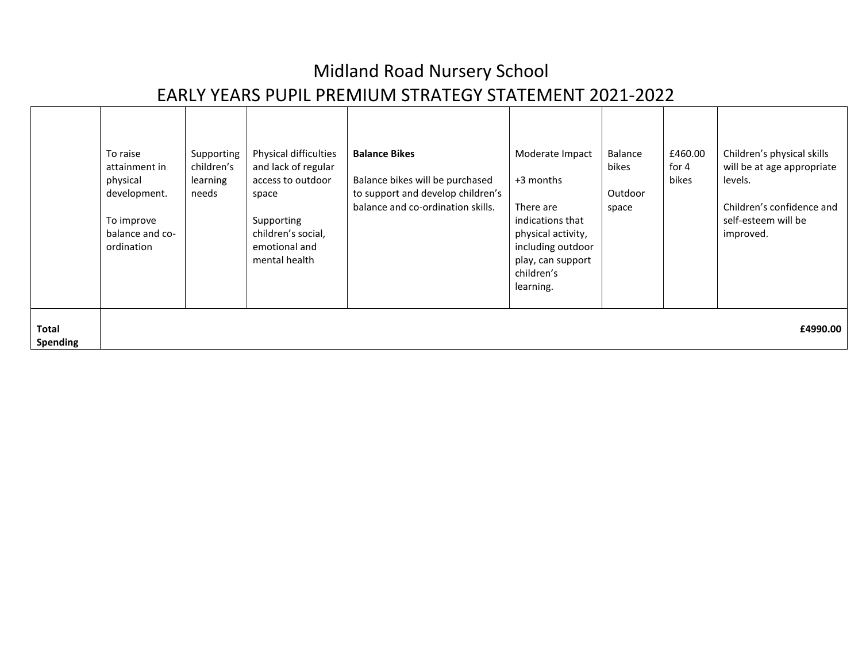|                          | To raise<br>attainment in<br>physical<br>development.<br>To improve<br>balance and co-<br>ordination | Supporting<br>children's<br>learning<br>needs | Physical difficulties<br>and lack of regular<br>access to outdoor<br>space<br>Supporting<br>children's social,<br>emotional and<br>mental health | <b>Balance Bikes</b><br>Balance bikes will be purchased<br>to support and develop children's<br>balance and co-ordination skills. | Moderate Impact<br>+3 months<br>There are<br>indications that<br>physical activity,<br>including outdoor<br>play, can support<br>children's<br>learning. | Balance<br>bikes<br>Outdoor<br>space | £460.00<br>for $4$<br>bikes | Children's physical skills<br>will be at age appropriate<br>levels.<br>Children's confidence and<br>self-esteem will be<br>improved. |
|--------------------------|------------------------------------------------------------------------------------------------------|-----------------------------------------------|--------------------------------------------------------------------------------------------------------------------------------------------------|-----------------------------------------------------------------------------------------------------------------------------------|----------------------------------------------------------------------------------------------------------------------------------------------------------|--------------------------------------|-----------------------------|--------------------------------------------------------------------------------------------------------------------------------------|
| Total<br><b>Spending</b> |                                                                                                      |                                               |                                                                                                                                                  |                                                                                                                                   |                                                                                                                                                          |                                      |                             | £4990.00                                                                                                                             |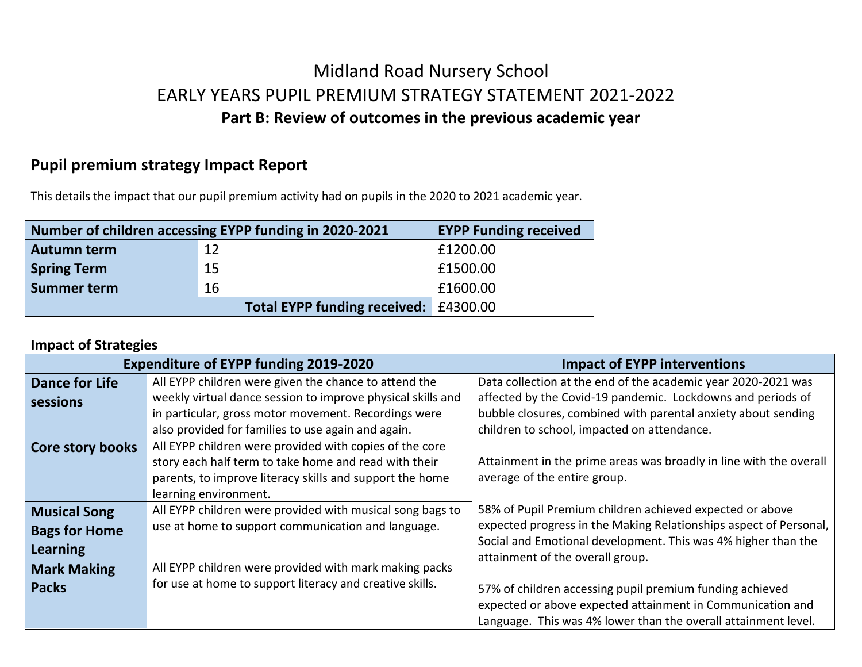## Midland Road Nursery School EARLY YEARS PUPIL PREMIUM STRATEGY STATEMENT 2021-2022 **Part B: Review of outcomes in the previous academic year**

### **Pupil premium strategy Impact Report**

This details the impact that our pupil premium activity had on pupils in the 2020 to 2021 academic year.

| Number of children accessing EYPP funding in 2020-2021 | <b>EYPP Funding received</b>            |          |
|--------------------------------------------------------|-----------------------------------------|----------|
| <b>Autumn term</b>                                     | 12                                      | £1200.00 |
| <b>Spring Term</b>                                     | 15                                      | £1500.00 |
| <b>Summer term</b>                                     | 16                                      | £1600.00 |
|                                                        | Total EYPP funding received:   £4300.00 |          |

#### **Impact of Strategies**

|                       | <b>Expenditure of EYPP funding 2019-2020</b>                | <b>Impact of EYPP interventions</b>                                                               |
|-----------------------|-------------------------------------------------------------|---------------------------------------------------------------------------------------------------|
| <b>Dance for Life</b> | All EYPP children were given the chance to attend the       | Data collection at the end of the academic year 2020-2021 was                                     |
| sessions              | weekly virtual dance session to improve physical skills and | affected by the Covid-19 pandemic. Lockdowns and periods of                                       |
|                       | in particular, gross motor movement. Recordings were        | bubble closures, combined with parental anxiety about sending                                     |
|                       | also provided for families to use again and again.          | children to school, impacted on attendance.                                                       |
| Core story books      | All EYPP children were provided with copies of the core     |                                                                                                   |
|                       | story each half term to take home and read with their       | Attainment in the prime areas was broadly in line with the overall                                |
|                       | parents, to improve literacy skills and support the home    | average of the entire group.                                                                      |
|                       | learning environment.                                       |                                                                                                   |
| <b>Musical Song</b>   | All EYPP children were provided with musical song bags to   | 58% of Pupil Premium children achieved expected or above                                          |
| <b>Bags for Home</b>  | use at home to support communication and language.          | expected progress in the Making Relationships aspect of Personal,                                 |
| <b>Learning</b>       |                                                             | Social and Emotional development. This was 4% higher than the<br>attainment of the overall group. |
| <b>Mark Making</b>    | All EYPP children were provided with mark making packs      |                                                                                                   |
| <b>Packs</b>          | for use at home to support literacy and creative skills.    | 57% of children accessing pupil premium funding achieved                                          |
|                       |                                                             | expected or above expected attainment in Communication and                                        |
|                       |                                                             | Language. This was 4% lower than the overall attainment level.                                    |